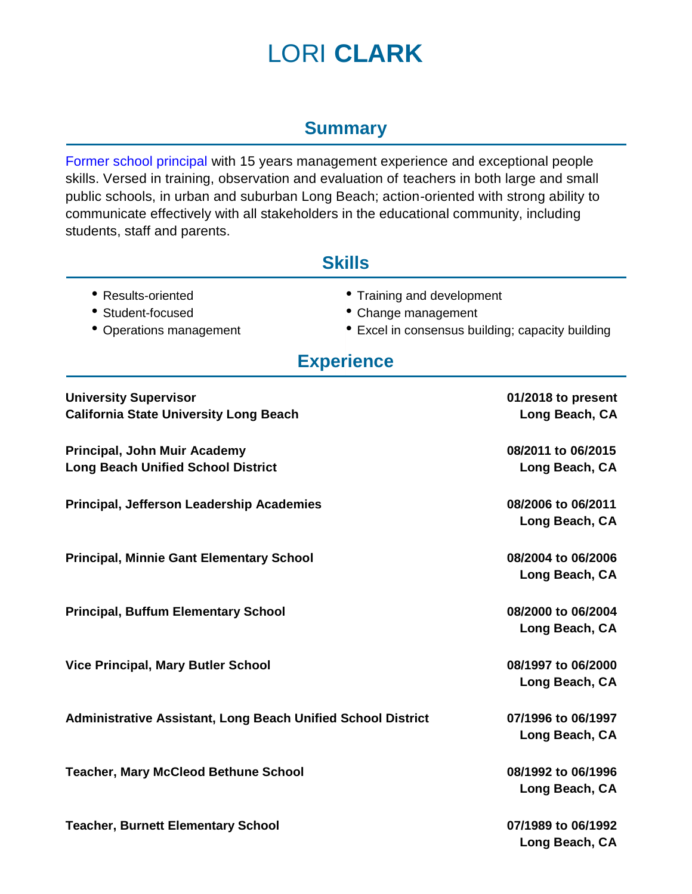# LORI **CLARK**

#### **Summary**

Former school principal with 15 years management experience and exceptional people skills. Versed in training, observation and evaluation of teachers in both large and small public schools, in urban and suburban Long Beach; action-oriented with strong ability to communicate effectively with all stakeholders in the educational community, including students, staff and parents.

#### **Skills**

- 
- 
- 
- Results-oriented Training and development
- Student-focused Change management
- Operations management Excel in consensus building; capacity building

### **Experience**

| <b>University Supervisor</b><br><b>California State University Long Beach</b> | 01/2018 to present<br>Long Beach, CA |
|-------------------------------------------------------------------------------|--------------------------------------|
|                                                                               |                                      |
| Principal, John Muir Academy                                                  | 08/2011 to 06/2015                   |
| <b>Long Beach Unified School District</b>                                     | Long Beach, CA                       |
| Principal, Jefferson Leadership Academies                                     | 08/2006 to 06/2011                   |
|                                                                               | Long Beach, CA                       |
| <b>Principal, Minnie Gant Elementary School</b>                               | 08/2004 to 06/2006                   |
|                                                                               | Long Beach, CA                       |
| <b>Principal, Buffum Elementary School</b>                                    | 08/2000 to 06/2004                   |
|                                                                               | Long Beach, CA                       |
| <b>Vice Principal, Mary Butler School</b>                                     | 08/1997 to 06/2000                   |
|                                                                               | Long Beach, CA                       |
| <b>Administrative Assistant, Long Beach Unified School District</b>           | 07/1996 to 06/1997                   |
|                                                                               | Long Beach, CA                       |
| <b>Teacher, Mary McCleod Bethune School</b>                                   | 08/1992 to 06/1996                   |
|                                                                               | Long Beach, CA                       |
| <b>Teacher, Burnett Elementary School</b>                                     | 07/1989 to 06/1992                   |
|                                                                               | Long Beach, CA                       |